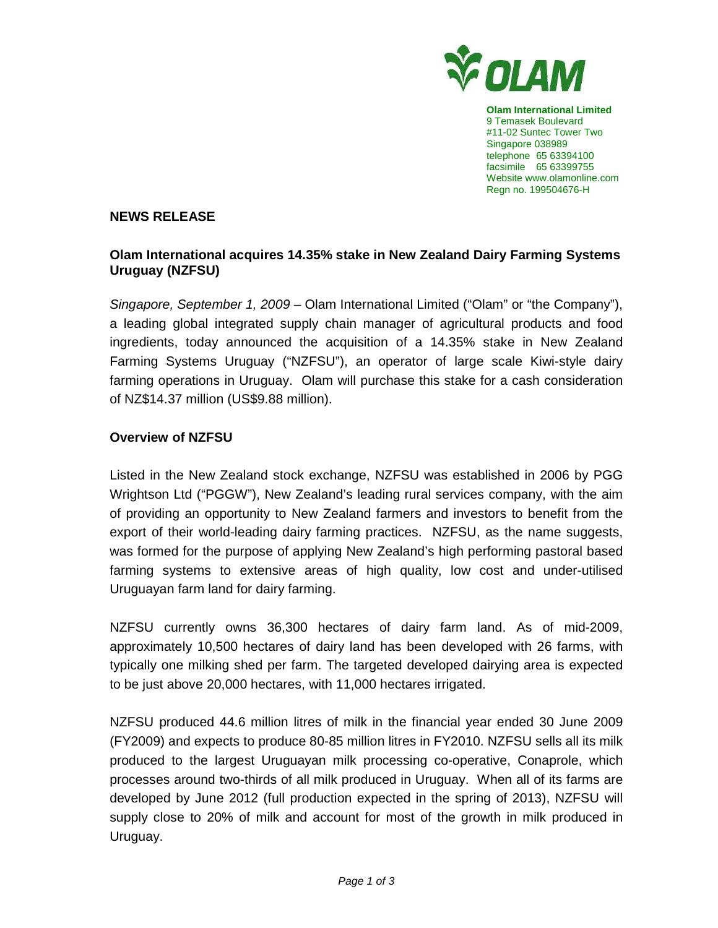

**Olam International Limited**  9 Temasek Boulevard #11-02 Suntec Tower Two Singapore 038989 telephone 65 63394100 facsimile 65 63399755 Website www.olamonline.com Regn no. 199504676-H

## **NEWS RELEASE**

# **Olam International acquires 14.35% stake in New Zealand Dairy Farming Systems Uruguay (NZFSU)**

Singapore, September 1, 2009 – Olam International Limited ("Olam" or "the Company"), a leading global integrated supply chain manager of agricultural products and food ingredients, today announced the acquisition of a 14.35% stake in New Zealand Farming Systems Uruguay ("NZFSU"), an operator of large scale Kiwi-style dairy farming operations in Uruguay. Olam will purchase this stake for a cash consideration of NZ\$14.37 million (US\$9.88 million).

## **Overview of NZFSU**

Listed in the New Zealand stock exchange, NZFSU was established in 2006 by PGG Wrightson Ltd ("PGGW"), New Zealand's leading rural services company, with the aim of providing an opportunity to New Zealand farmers and investors to benefit from the export of their world-leading dairy farming practices. NZFSU, as the name suggests, was formed for the purpose of applying New Zealand's high performing pastoral based farming systems to extensive areas of high quality, low cost and under-utilised Uruguayan farm land for dairy farming.

NZFSU currently owns 36,300 hectares of dairy farm land. As of mid-2009, approximately 10,500 hectares of dairy land has been developed with 26 farms, with typically one milking shed per farm. The targeted developed dairying area is expected to be just above 20,000 hectares, with 11,000 hectares irrigated.

NZFSU produced 44.6 million litres of milk in the financial year ended 30 June 2009 (FY2009) and expects to produce 80-85 million litres in FY2010. NZFSU sells all its milk produced to the largest Uruguayan milk processing co-operative, Conaprole, which processes around two-thirds of all milk produced in Uruguay. When all of its farms are developed by June 2012 (full production expected in the spring of 2013), NZFSU will supply close to 20% of milk and account for most of the growth in milk produced in Uruguay.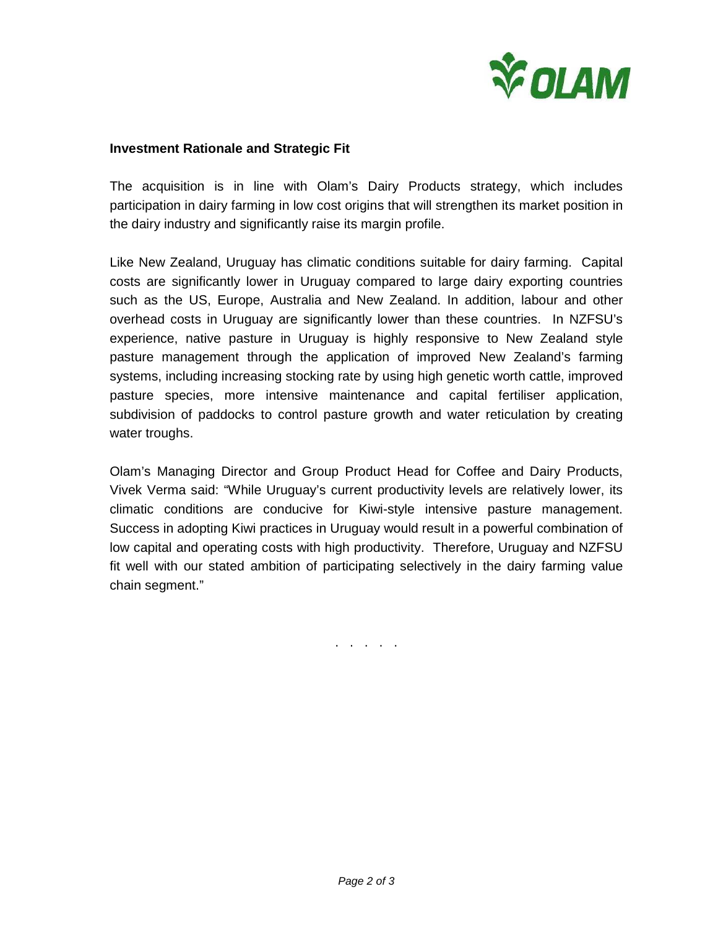

#### **Investment Rationale and Strategic Fit**

The acquisition is in line with Olam's Dairy Products strategy, which includes participation in dairy farming in low cost origins that will strengthen its market position in the dairy industry and significantly raise its margin profile.

Like New Zealand, Uruguay has climatic conditions suitable for dairy farming. Capital costs are significantly lower in Uruguay compared to large dairy exporting countries such as the US, Europe, Australia and New Zealand. In addition, labour and other overhead costs in Uruguay are significantly lower than these countries. In NZFSU's experience, native pasture in Uruguay is highly responsive to New Zealand style pasture management through the application of improved New Zealand's farming systems, including increasing stocking rate by using high genetic worth cattle, improved pasture species, more intensive maintenance and capital fertiliser application, subdivision of paddocks to control pasture growth and water reticulation by creating water troughs.

Olam's Managing Director and Group Product Head for Coffee and Dairy Products, Vivek Verma said: "While Uruguay's current productivity levels are relatively lower, its climatic conditions are conducive for Kiwi-style intensive pasture management. Success in adopting Kiwi practices in Uruguay would result in a powerful combination of low capital and operating costs with high productivity. Therefore, Uruguay and NZFSU fit well with our stated ambition of participating selectively in the dairy farming value chain segment."

. . . . .